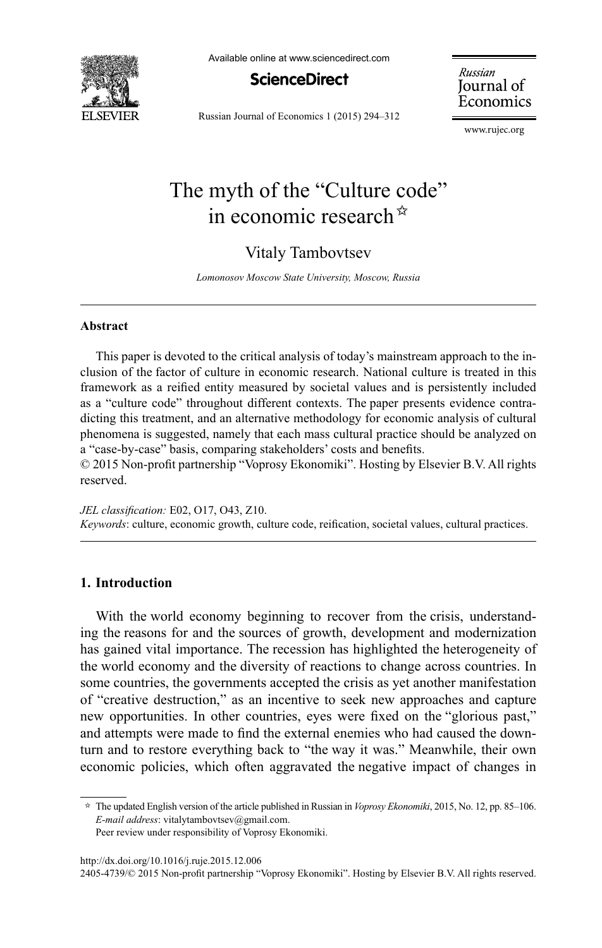

Available online at www.sciencedirect.com

**ScienceDirect** 

Russian Journal of Economics 1 (2015) 294-312

Russian Journal of Economics

w.rujec.org

# The myth of the "Culture code" in economic research $\dot{a}$

## Vitaly Tambovtsev

*Lomonosov Moscow State University, Moscow, Russia* 

#### **Abstract**

This paper is devoted to the critical analysis of today's mainstream approach to the inclusion of the factor of culture in economic research. National culture is treated in this framework as a reified entity measured by societal values and is persistently included as a "culture code" throughout different contexts. The paper presents evidence contradicting this treatment, and an alternative methodology for economic analysis of cultural phenomena is suggested, namely that each mass cultural practice should be analyzed on a "case-by-case" basis, comparing stakeholders' costs and benefits.

 $© 2015$  Non-profit partnership "Voprosy Ekonomiki". Hosting by Elsevier B.V. All rights reserved.

*JEL classification:* E02, O17, O43, Z10. *Keywords*: culture, economic growth, culture code, reification, societal values, cultural practices.

## **1. Introduction**

With the world economy beginning to recover from the crisis, understanding the reasons for and the sources of growth, development and modernization has gained vital importance. The recession has highlighted the heterogeneity of the world economy and the diversity of reactions to change across countries. In some countries, the governments accepted the crisis as yet another manifestation of "creative destruction," as an incentive to seek new approaches and capture new opportunities. In other countries, eyes were fixed on the "glorious past," and attempts were made to find the external enemies who had caused the downturn and to restore everything back to "the way it was." Meanwhile, their own economic policies, which often aggravated the negative impact of changes in

 $\approx$  The updated English version of the article published in Russian in *Voprosy Ekonomiki*, 2015, No. 12, pp. 85–106. *E-mail address*: vitalytambovtsev@gmail.com. Peer review under responsibility of Voprosy Ekonomiki.

http://dx.doi.org/10.1016/j.ruje.2015.12.006

<sup>2405-4739/© 2015</sup> Non-profit partnership "Voprosy Ekonomiki". Hosting by Elsevier B.V. All rights reserved.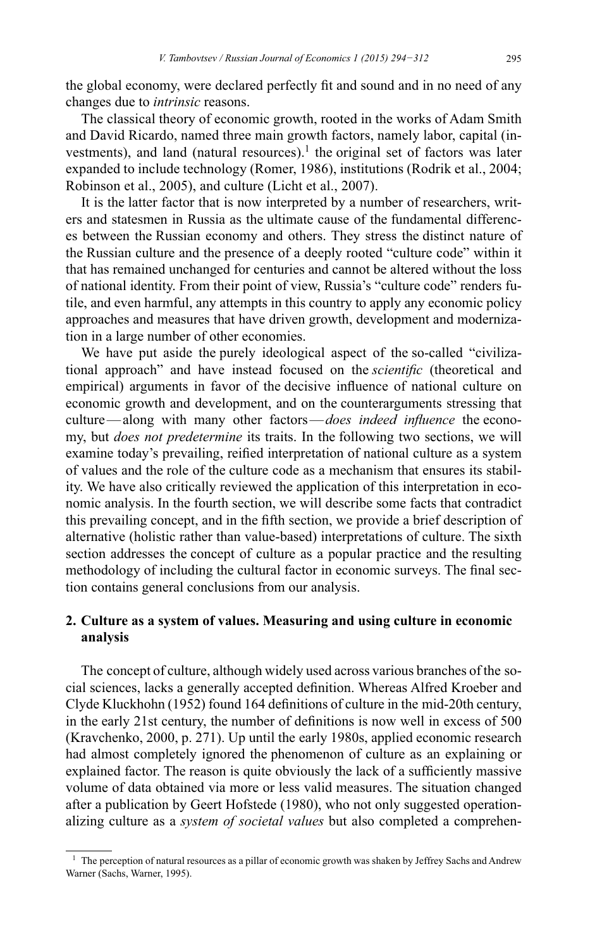the global economy, were declared perfectly fit and sound and in no need of any changes due to *intrinsic* reasons.

The classical theory of economic growth, rooted in the works of Adam Smith and David Ricardo, named three main growth factors, namely labor, capital (investments), and land (natural resources).<sup>1</sup> the original set of factors was later expanded to include technology (Romer, 1986), institutions (Rodrik et al., 2004; Robinson et al., 2005), and culture (Licht et al., 2007).

It is the latter factor that is now interpreted by a number of researchers, writers and statesmen in Russia as the ultimate cause of the fundamental differences between the Russian economy and others. They stress the distinct nature of the Russian culture and the presence of a deeply rooted "culture code" within it that has remained unchanged for centuries and cannot be altered without the loss of national identity. From their point of view, Russia's "culture code" renders futile, and even harmful, any attempts in this country to apply any economic policy approaches and measures that have driven growth, development and modernization in a large number of other economies.

We have put aside the purely ideological aspect of the so-called "civilizational approach" and have instead focused on the *scientific* (theoretical and empirical) arguments in favor of the decisive influence of national culture on economic growth and development, and on the counterarguments stressing that culture—along with many other factors—*does indeed influence* the economy, but *does not predetermine* its traits. In the following two sections, we will examine today's prevailing, reified interpretation of national culture as a system of values and the role of the culture code as a mechanism that ensures its stability. We have also critically reviewed the application of this interpretation in economic analysis. In the fourth section, we will describe some facts that contradict this prevailing concept, and in the fifth section, we provide a brief description of alternative (holistic rather than value-based) interpretations of culture. The sixth section addresses the concept of culture as a popular practice and the resulting methodology of including the cultural factor in economic surveys. The final section contains general conclusions from our analysis.

## **2. Culture as a system of values. Measuring and using culture in economic analysis**

The concept of culture, although widely used across various branches of the social sciences, lacks a generally accepted definition. Whereas Alfred Kroeber and Clyde Kluckhohn (1952) found 164 definitions of culture in the mid-20th century, in the early 21st century, the number of definitions is now well in excess of  $500$  $(Kravchenko, 2000, p. 271)$ . Up until the early 1980s, applied economic research had almost completely ignored the phenomenon of culture as an explaining or explained factor. The reason is quite obviously the lack of a sufficiently massive volume of data obtained via more or less valid measures. The situation changed after a publication by Geert Hofstede (1980), who not only suggested operationalizing culture as a *system of societal values* but also completed a comprehen-

 $1$  The perception of natural resources as a pillar of economic growth was shaken by Jeffrey Sachs and Andrew Warner (Sachs, Warner, 1995).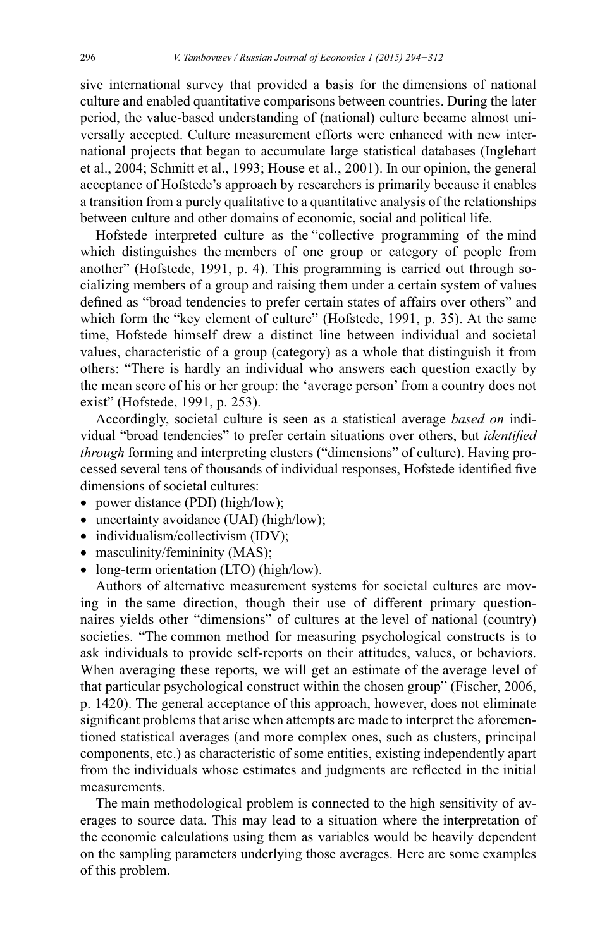sive international survey that provided a basis for the dimensions of national culture and enabled quantitative comparisons between countries. During the later period, the value-based understanding of (national) culture became almost universally accepted. Culture measurement efforts were enhanced with new international projects that began to accumulate large statistical databases (Inglehart et al., 2004; Schmitt et al., 1993; House et al., 2001). In our opinion, the general acceptance of Hofstede's approach by researchers is primarily because it enables a transition from a purely qualitative to a quantitative analysis of the relationships between culture and other domains of economic, social and political life.

Hofstede interpreted culture as the "collective programming of the mind which distinguishes the members of one group or category of people from another" (Hofstede, 1991, p. 4). This programming is carried out through socializing members of a group and raising them under a certain system of values defined as "broad tendencies to prefer certain states of affairs over others" and which form the "key element of culture" (Hofstede, 1991, p. 35). At the same time, Hofstede himself drew a distinct line between individual and societal values, characteristic of a group (category) as a whole that distinguish it from others: "There is hardly an individual who answers each question exactly by the mean score of his or her group: the 'average person' from a country does not exist" (Hofstede, 1991, p. 253).

Accordingly, societal culture is seen as a statistical average based on individual "broad tendencies" to prefer certain situations over others, but *identified through* forming and interpreting clusters ("dimensions" of culture). Having processed several tens of thousands of individual responses, Hofstede identified five dimensions of societal cultures:

- power distance (PDI) (high/low);
- uncertainty avoidance (UAI) (high/low);
- individualism/collectivism (IDV);
- masculinity/femininity (MAS);
- long-term orientation (LTO) (high/low).

Authors of alternative measurement systems for societal cultures are moving in the same direction, though their use of different primary questionnaires yields other "dimensions" of cultures at the level of national (country) societies. "The common method for measuring psychological constructs is to ask individuals to provide self-reports on their attitudes, values, or behaviors. When averaging these reports, we will get an estimate of the average level of that particular psychological construct within the chosen group" (Fischer, 2006, p. 1420). The general acceptance of this approach, however, does not eliminate significant problems that arise when attempts are made to interpret the aforementioned statistical averages (and more complex ones, such as clusters, principal components, etc.) as characteristic of some entities, existing independently apart from the individuals whose estimates and judgments are reflected in the initial measurements.

The main methodological problem is connected to the high sensitivity of averages to source data. This may lead to a situation where the interpretation of the economic calculations using them as variables would be heavily dependent on the sampling parameters underlying those averages. Here are some examples of this problem.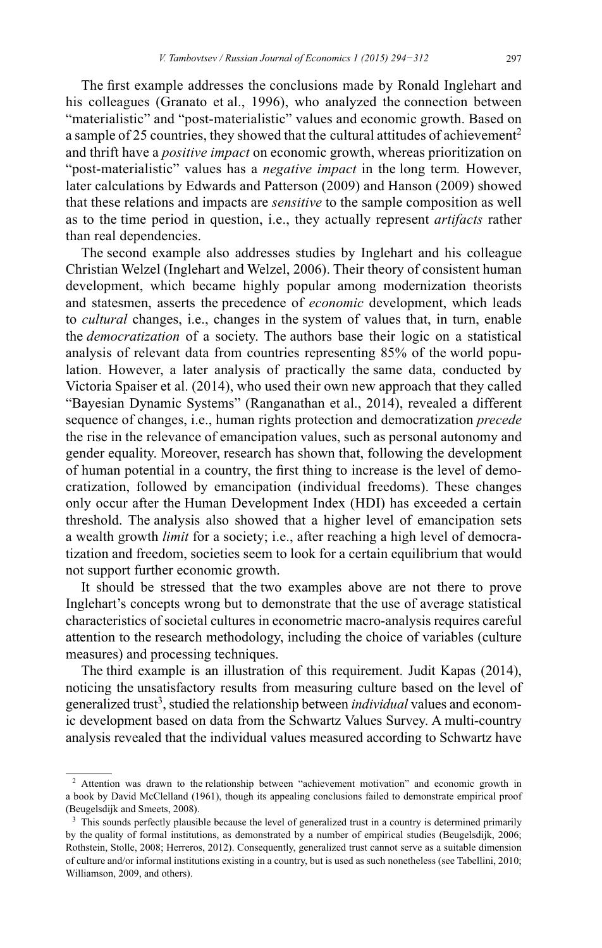The first example addresses the conclusions made by Ronald Inglehart and his colleagues (Granato et al., 1996), who analyzed the connection between "materialistic" and "post-materialistic" values and economic growth. Based on a sample of 25 countries, they showed that the cultural attitudes of achievement<sup>2</sup> and thrift have a *positive impact* on economic growth, whereas prioritization on "post-materialistic" values has a *negative impact* in the long term. However, later calculations by Edwards and Patterson (2009) and Hanson (2009) showed that these relations and impacts are *sensitive* to the sample composition as well as to the time period in question, i.e., they actually represent *artifacts* rather than real dependencies.

The second example also addresses studies by Inglehart and his colleague Christian Welzel (Inglehart and Welzel, 2006). Their theory of consistent human development, which became highly popular among modernization theorists and statesmen, asserts the precedence of *economic* development, which leads to *cultural* changes, i.e., changes in the system of values that, in turn, enable the *democratization* of a society. The authors base their logic on a statistical analysis of relevant data from countries representing 85% of the world population. However, a later analysis of practically the same data, conducted by Victoria Spaiser et al. (2014), who used their own new approach that they called "Bayesian Dynamic Systems" (Ranganathan et al., 2014), revealed a different sequence of changes, i.e., human rights protection and democratization *precede* the rise in the relevance of emancipation values, such as personal autonomy and gender equality. Moreover, research has shown that, following the development of human potential in a country, the first thing to increase is the level of democratization, followed by emancipation (individual freedoms). These changes only occur after the Human Development Index (HDI) has exceeded a certain threshold. The analysis also showed that a higher level of emancipation sets a wealth growth *limit* for a society; i.e., after reaching a high level of democratization and freedom, societies seem to look for a certain equilibrium that would not support further economic growth.

It should be stressed that the two examples above are not there to prove Inglehart's concepts wrong but to demonstrate that the use of average statistical characteristics of societal cultures in econometric macro-analysis requires careful attention to the research methodology, including the choice of variables (culture measures) and processing techniques.

The third example is an illustration of this requirement. Judit Kapas (2014), noticing the unsatisfactory results from measuring culture based on the level of generalized trust<sup>3</sup>, studied the relationship between *individual* values and economic development based on data from the Schwartz Values Survey. A multi-country analysis revealed that the individual values measured according to Schwartz have

 $2$  Attention was drawn to the relationship between "achievement motivation" and economic growth in a book by David McClelland (1961), though its appealing conclusions failed to demonstrate empirical proof (Beugelsdijk and Smeets, 2008).

<sup>&</sup>lt;sup>3</sup> This sounds perfectly plausible because the level of generalized trust in a country is determined primarily by the quality of formal institutions, as demonstrated by a number of empirical studies (Beugelsdijk, 2006; Rothstein, Stolle, 2008; Herreros, 2012). Consequently, generalized trust cannot serve as a suitable dimension of culture and/or informal institutions existing in a country, but is used as such nonetheless (see Tabellini, 2010; Williamson, 2009, and others).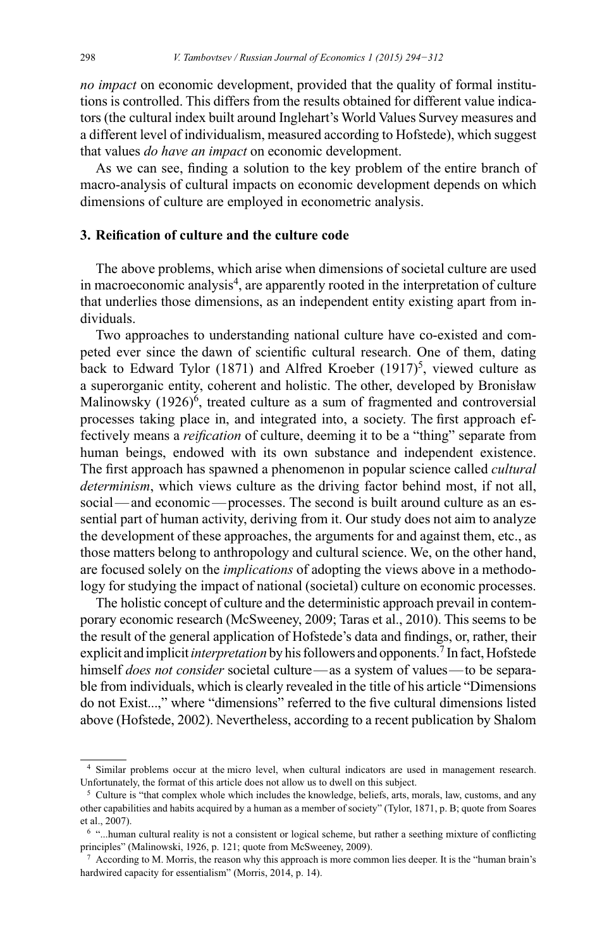no impact on economic development, provided that the quality of formal institutions is controlled. This differs from the results obtained for different value indicators (the cultural index built around Inglehart's World Values Survey measures and a different level of individualism, measured according to Hofstede), which suggest that values *do have an impact* on economic development.

As we can see, finding a solution to the key problem of the entire branch of macro-analysis of cultural impacts on economic development depends on which dimensions of culture are employed in econometric analysis.

### 3. Reification of culture and the culture code

The above problems, which arise when dimensions of societal culture are used in macroeconomic analysis<sup>4</sup>, are apparently rooted in the interpretation of culture that underlies those dimensions, as an independent entity existing apart from individuals.

Two approaches to understanding national culture have co-existed and competed ever since the dawn of scientific cultural research. One of them, dating back to Edward Tylor (1871) and Alfred Kroeber (1917)<sup>5</sup>, viewed culture as a superorganic entity, coherent and holistic. The other, developed by Bronisław Malinowsky (1926)<sup>6</sup>, treated culture as a sum of fragmented and controversial processes taking place in, and integrated into, a society. The first approach effectively means a *reification* of culture, deeming it to be a "thing" separate from human beings, endowed with its own substance and independent existence. The first approach has spawned a phenomenon in popular science called *cultural determinism*, which views culture as the driving factor behind most, if not all, social—and economic—processes. The second is built around culture as an essential part of human activity, deriving from it. Our study does not aim to analyze the development of these approaches, the arguments for and against them, etc., as those matters belong to anthropology and cultural science. We, on the other hand, are focused solely on the *implications* of adopting the views above in a methodology for studying the impact of national (societal) culture on economic processes.

The holistic concept of culture and the deterministic approach prevail in contemporary economic research (McSweeney, 2009; Taras et al., 2010). This seems to be the result of the general application of Hofstede's data and findings, or, rather, their explicit and implicit *interpretation* by his followers and opponents.<sup>7</sup> In fact, Hofstede himself *does not consider* societal culture—as a system of values—to be separable from individuals, which is clearly revealed in the title of his article "Dimensions" do not Exist...," where "dimensions" referred to the five cultural dimensions listed above (Hofstede, 2002). Nevertheless, according to a recent publication by Shalom

<sup>&</sup>lt;sup>4</sup> Similar problems occur at the micro level, when cultural indicators are used in management research. Unfortunately, the format of this article does not allow us to dwell on this subject.

<sup>&</sup>lt;sup>5</sup> Culture is "that complex whole which includes the knowledge, beliefs, arts, morals, law, customs, and any other capabilities and habits acquired by a human as a member of society" (Tylor, 1871, p. B; quote from Soares et al., 2007).

<sup>&</sup>lt;sup>6</sup> "...human cultural reality is not a consistent or logical scheme, but rather a seething mixture of conflicting principles" (Malinowski, 1926, p. 121; quote from McSweeney, 2009).

 $\frac{7}{1}$  According to M. Morris, the reason why this approach is more common lies deeper. It is the "human brain's hardwired capacity for essentialism" (Morris, 2014, p. 14).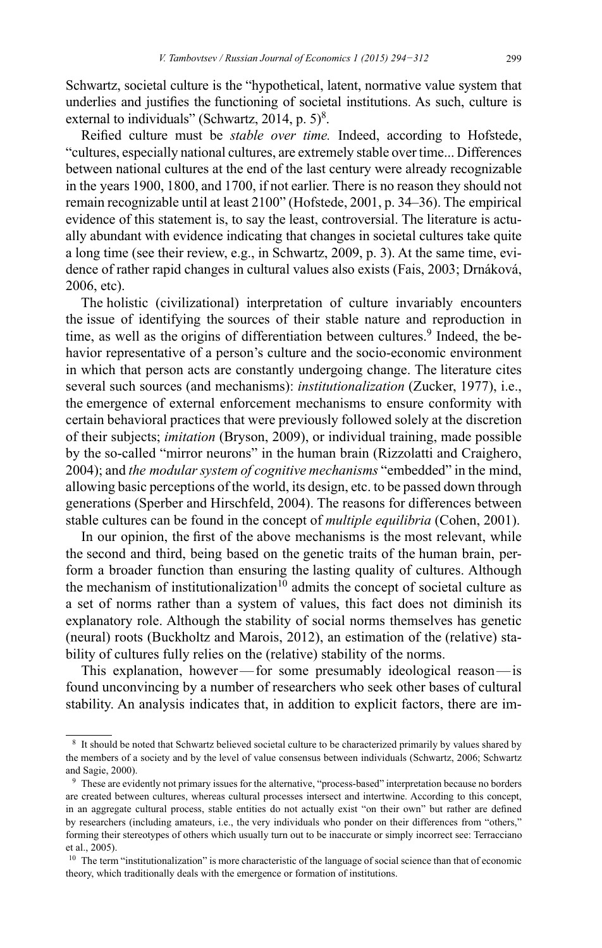Schwartz, societal culture is the "hypothetical, latent, normative value system that underlies and justifies the functioning of societal institutions. As such, culture is external to individuals" (Schwartz, 2014, p.  $5$ )<sup>8</sup>.

Reified culture must be *stable over time*. Indeed, according to Hofstede, "cultures, especially national cultures, are extremely stable over time... Differences between national cultures at the end of the last century were already recognizable in the years 1900, 1800, and 1700, if not earlier. There is no reason they should not remain recognizable until at least 2100" (Hofstede, 2001, p. 34-36). The empirical evidence of this statement is, to say the least, controversial. The literature is actually abundant with evidence indicating that changes in societal cultures take quite a long time (see their review, e.g., in Schwartz, 2009, p. 3). At the same time, evidence of rather rapid changes in cultural values also exists (Fais, 2003; Drnáková, 2006, etc).

The holistic (civilizational) interpretation of culture invariably encounters the issue of identifying the sources of their stable nature and reproduction in time, as well as the origins of differentiation between cultures.<sup>9</sup> Indeed, the behavior representative of a person's culture and the socio-economic environment in which that person acts are constantly undergoing change. The literature cites several such sources (and mechanisms): institutionalization (Zucker, 1977), i.e., the emergence of external enforcement mechanisms to ensure conformity with certain behavioral practices that were previously followed solely at the discretion of their subjects; *imitation* (Bryson, 2009), or individual training, made possible by the so-called "mirror neurons" in the human brain (Rizzolatti and Craighero, 2004); and the modular system of cognitive mechanisms "embedded" in the mind, allowing basic perceptions of the world, its design, etc. to be passed down through generations (Sperber and Hirschfeld, 2004). The reasons for differences between stable cultures can be found in the concept of *multiple equilibria* (Cohen, 2001).

In our opinion, the first of the above mechanisms is the most relevant, while the second and third, being based on the genetic traits of the human brain, perform a broader function than ensuring the lasting quality of cultures. Although the mechanism of institutionalization<sup>10</sup> admits the concept of societal culture as a set of norms rather than a system of values, this fact does not diminish its explanatory role. Although the stability of social norms themselves has genetic (neural) roots (Buckholtz and Marois, 2012), an estimation of the (relative) stability of cultures fully relies on the (relative) stability of the norms.

This explanation, however—for some presumably ideological reason—is found unconvincing by a number of researchers who seek other bases of cultural stability. An analysis indicates that, in addition to explicit factors, there are im-

<sup>&</sup>lt;sup>8</sup> It should be noted that Schwartz believed societal culture to be characterized primarily by values shared by the members of a society and by the level of value consensus between individuals (Schwartz, 2006; Schwartz and Sagie, 2000).

<sup>&</sup>lt;sup>9</sup> These are evidently not primary issues for the alternative, "process-based" interpretation because no borders are created between cultures, whereas cultural processes intersect and intertwine. According to this concept, in an aggregate cultural process, stable entities do not actually exist "on their own" but rather are defined by researchers (including amateurs, i.e., the very individuals who ponder on their differences from "others," forming their stereotypes of others which usually turn out to be inaccurate or simply incorrect see: Terracciano et al., 2005).

<sup>&</sup>lt;sup>10</sup> The term "institutionalization" is more characteristic of the language of social science than that of economic theory, which traditionally deals with the emergence or formation of institutions.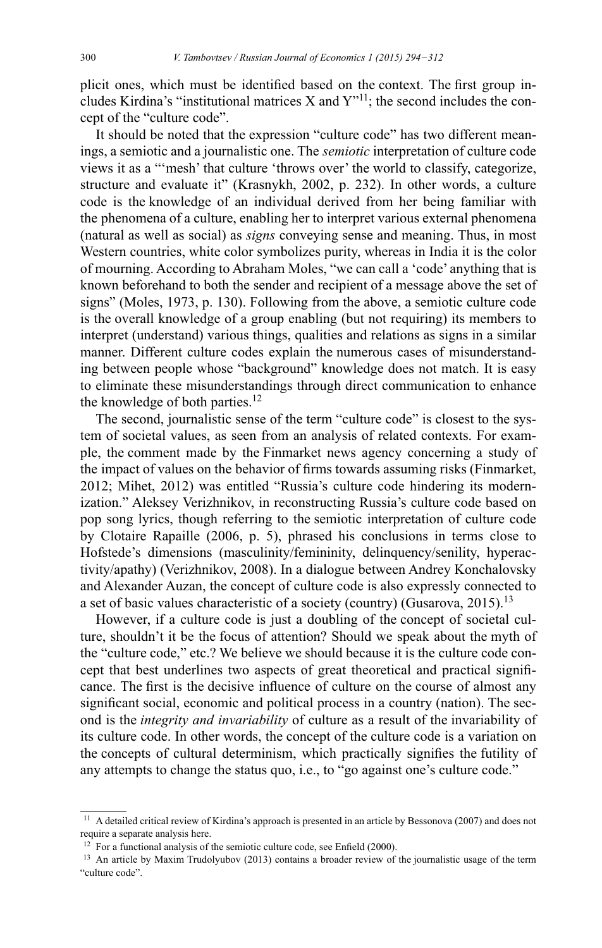plicit ones, which must be identified based on the context. The first group includes Kirdina's "institutional matrices X and  $Y$ "<sup>11</sup>; the second includes the concept of the "culture code".

It should be noted that the expression "culture code" has two different meanings, a semiotic and a journalistic one. The *semiotic* interpretation of culture code views it as a "'mesh' that culture 'throws over' the world to classify, categorize, structure and evaluate it" (Krasnykh, 2002, p. 232). In other words, a culture code is the knowledge of an individual derived from her being familiar with the phenomena of a culture, enabling her to interpret various external phenomena (natural as well as social) as *signs* conveying sense and meaning. Thus, in most Western countries, white color symbolizes purity, whereas in India it is the color of mourning. According to Abraham Moles, "we can call a 'code' anything that is known beforehand to both the sender and recipient of a message above the set of signs" (Moles, 1973, p. 130). Following from the above, a semiotic culture code is the overall knowledge of a group enabling (but not requiring) its members to interpret (understand) various things, qualities and relations as signs in a similar manner. Different culture codes explain the numerous cases of misunderstanding between people whose "background" knowledge does not match. It is easy to eliminate these misunderstandings through direct communication to enhance the knowledge of both parties. $12$ 

The second, journalistic sense of the term "culture code" is closest to the system of societal values, as seen from an analysis of related contexts. For example, the comment made by the Finmarket news agency concerning a study of the impact of values on the behavior of firms towards assuming risks (Finmarket, 2012; Mihet, 2012) was entitled "Russia's culture code hindering its modernization." Aleksey Verizhnikov, in reconstructing Russia's culture code based on pop song lyrics, though referring to the semiotic interpretation of culture code by Clotaire Rapaille (2006, p. 5), phrased his conclusions in terms close to Hofstede's dimensions (masculinity/femininity, delinquency/senility, hyperactivity/apathy) (Verizhnikov, 2008). In a dialogue between Andrey Konchalovsky and Alexander Auzan, the concept of culture code is also expressly connected to a set of basic values characteristic of a society (country) (Gusarova, 2015).<sup>13</sup>

However, if a culture code is just a doubling of the concept of societal culture, shouldn't it be the focus of attention? Should we speak about the myth of the "culture code," etc.? We believe we should because it is the culture code concept that best underlines two aspects of great theoretical and practical significance. The first is the decisive influence of culture on the course of almost any significant social, economic and political process in a country (nation). The second is the *integrity and invariability* of culture as a result of the invariability of its culture code. In other words, the concept of the culture code is a variation on the concepts of cultural determinism, which practically signifies the futility of any attempts to change the status quo, i.e., to "go against one's culture code."

 $11$  A detailed critical review of Kirdina's approach is presented in an article by Bessonova (2007) and does not require a separate analysis here.

<sup>&</sup>lt;sup>12</sup> For a functional analysis of the semiotic culture code, see Enfield (2000).

<sup>&</sup>lt;sup>13</sup> An article by Maxim Trudolyubov (2013) contains a broader review of the journalistic usage of the term "culture code".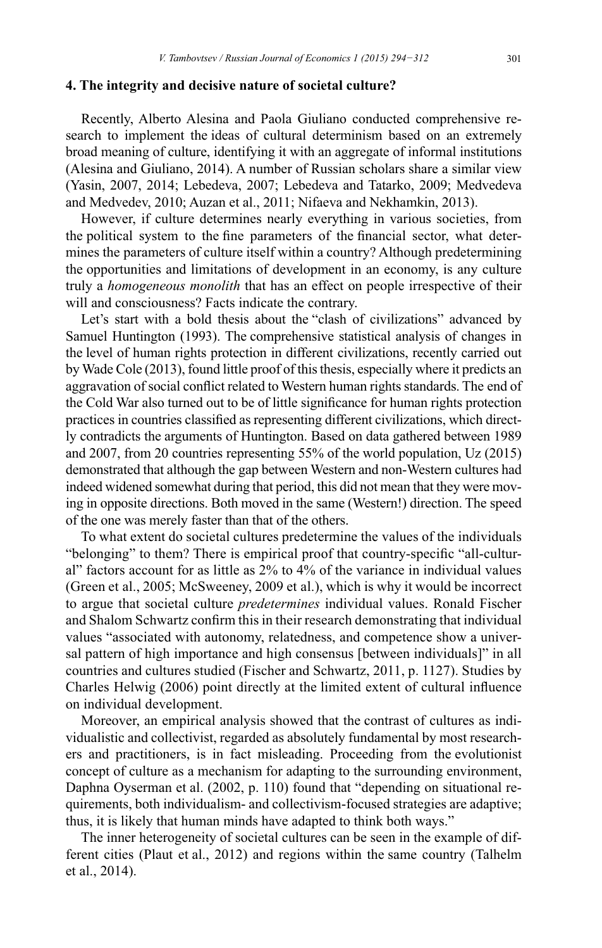#### 4. The integrity and decisive nature of societal culture?

Recently, Alberto Alesina and Paola Giuliano conducted comprehensive research to implement the ideas of cultural determinism based on an extremely broad meaning of culture, identifying it with an aggregate of informal institutions (Alesina and Giuliano, 2014). A number of Russian scholars share a similar view (Yasin, 2007, 2014; Lebedeva, 2007; Lebedeva and Tatarko, 2009; Medvedeva and Medvedev, 2010; Auzan et al., 2011; Nifaeva and Nekhamkin, 2013).

However, if culture determines nearly everything in various societies, from the political system to the fine parameters of the financial sector, what determines the parameters of culture itself within a country? Although predetermining the opportunities and limitations of development in an economy, is any culture truly a *homogeneous monolith* that has an effect on people irrespective of their will and consciousness? Facts indicate the contrary.

Let's start with a bold thesis about the "clash of civilizations" advanced by Samuel Huntington (1993). The comprehensive statistical analysis of changes in the level of human rights protection in different civilizations, recently carried out by Wade Cole (2013), found little proof of this thesis, especially where it predicts an aggravation of social conflict related to Western human rights standards. The end of the Cold War also turned out to be of little significance for human rights protection practices in countries classified as representing different civilizations, which directly contradicts the arguments of Huntington. Based on data gathered between 1989 and 2007, from 20 countries representing 55% of the world population, Uz (2015) demonstrated that although the gap between Western and non-Western cultures had indeed widened somewhat during that period, this did not mean that they were moving in opposite directions. Both moved in the same (Western!) direction. The speed of the one was merely faster than that of the others.

To what extent do societal cultures predetermine the values of the individuals "belonging" to them? There is empirical proof that country-specific "all-cultural" factors account for as little as 2% to 4% of the variance in individual values (Green et al., 2005; McSweeney, 2009 et al.), which is why it would be incorrect to argue that societal culture *predetermines* individual values. Ronald Fischer and Shalom Schwartz confirm this in their research demonstrating that individual values "associated with autonomy, relatedness, and competence show a universal pattern of high importance and high consensus [between individuals]" in all countries and cultures studied (Fischer and Schwartz, 2011, p. 1127). Studies by Charles Helwig (2006) point directly at the limited extent of cultural influence on individual development.

Moreover, an empirical analysis showed that the contrast of cultures as individualistic and collectivist, regarded as absolutely fundamental by most researchers and practitioners, is in fact misleading. Proceeding from the evolutionist concept of culture as a mechanism for adapting to the surrounding environment, Daphna Oyserman et al. (2002, p. 110) found that "depending on situational requirements, both individualism- and collectivism-focused strategies are adaptive; thus, it is likely that human minds have adapted to think both ways."

The inner heterogeneity of societal cultures can be seen in the example of different cities (Plaut et al., 2012) and regions within the same country (Talhelm et al., 2014).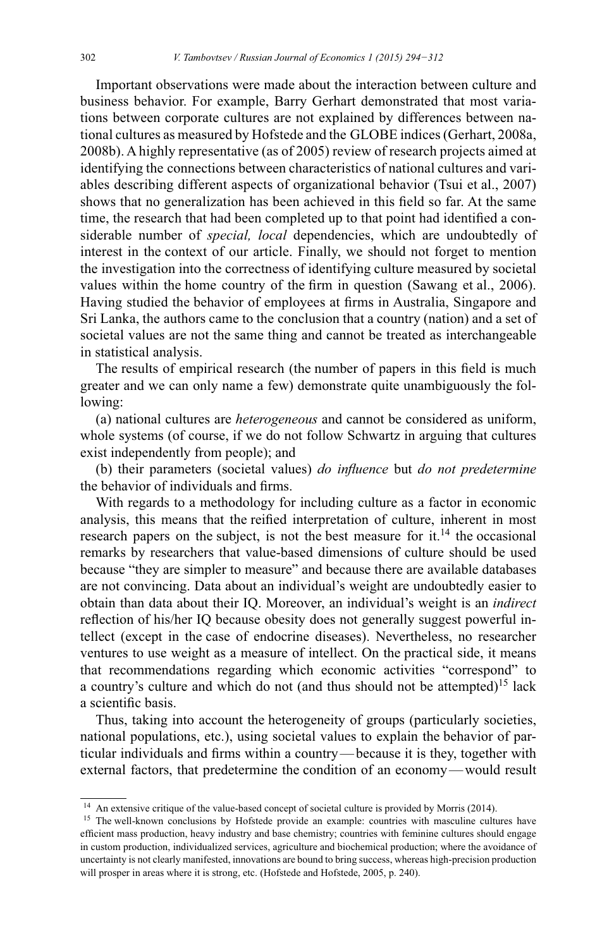Important observations were made about the interaction between culture and business behavior. For example, Barry Gerhart demonstrated that most variations between corporate cultures are not explained by differences between national cultures as measured by Hofstede and the GLOBE indices (Gerhart, 2008a, 2008b). A highly representative (as of 2005) review of research projects aimed at identifying the connections between characteristics of national cultures and variables describing different aspects of organizational behavior (Tsui et al., 2007) shows that no generalization has been achieved in this field so far. At the same time, the research that had been completed up to that point had identified a considerable number of *special, local* dependencies, which are undoubtedly of interest in the context of our article. Finally, we should not forget to mention the investigation into the correctness of identifying culture measured by societal values within the home country of the firm in question (Sawang et al., 2006). Having studied the behavior of employees at firms in Australia, Singapore and Sri Lanka, the authors came to the conclusion that a country (nation) and a set of societal values are not the same thing and cannot be treated as interchangeable in statistical analysis.

The results of empirical research (the number of papers in this field is much greater and we can only name a few) demonstrate quite unambiguously the following:

(a) national cultures are *heterogeneous* and cannot be considered as uniform, whole systems (of course, if we do not follow Schwartz in arguing that cultures exist independently from people); and

(b) their parameters (societal values) *do influence* but *do not predetermine* the behavior of individuals and firms.

With regards to a methodology for including culture as a factor in economic analysis, this means that the reified interpretation of culture, inherent in most research papers on the subject, is not the best measure for it.<sup>14</sup> the occasional remarks by researchers that value-based dimensions of culture should be used because "they are simpler to measure" and because there are available databases are not convincing. Data about an individual's weight are undoubtedly easier to obtain than data about their IQ. Moreover, an individual's weight is an *indirect*  reflection of his/her IQ because obesity does not generally suggest powerful intellect (except in the case of endocrine diseases). Nevertheless, no researcher ventures to use weight as a measure of intellect. On the practical side, it means that recommendations regarding which economic activities "correspond" to a country's culture and which do not (and thus should not be attempted)<sup>15</sup> lack a scientific basis.

Thus, taking into account the heterogeneity of groups (particularly societies, national populations, etc.), using societal values to explain the behavior of particular individuals and firms within a country—because it is they, together with external factors, that predetermine the condition of an economy — would result

 $14$  An extensive critique of the value-based concept of societal culture is provided by Morris (2014).

<sup>&</sup>lt;sup>15</sup> The well-known conclusions by Hofstede provide an example: countries with masculine cultures have efficient mass production, heavy industry and base chemistry; countries with feminine cultures should engage in custom production, individualized services, agriculture and biochemical production; where the avoidance of uncertainty is not clearly manifested, innovations are bound to bring success, whereas high-precision production will prosper in areas where it is strong, etc. (Hofstede and Hofstede, 2005, p. 240).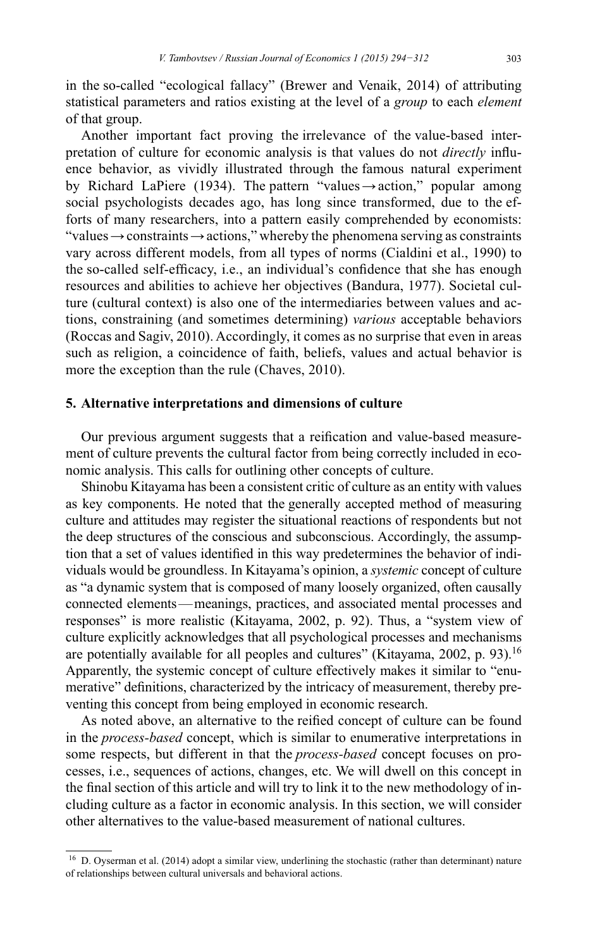in the so-called "ecological fallacy" (Brewer and Venaik, 2014) of attributing statistical parameters and ratios existing at the level of a group to each element of that group.

Another important fact proving the irrelevance of the value-based interpretation of culture for economic analysis is that values do not *directly* influence behavior, as vividly illustrated through the famous natural experiment by Richard LaPiere (1934). The pattern "values  $\rightarrow$  action," popular among social psychologists decades ago, has long since transformed, due to the efforts of many researchers, into a pattern easily comprehended by economists: "values  $\rightarrow$  constraints  $\rightarrow$  actions," whereby the phenomena serving as constraints vary across different models, from all types of norms (Cialdini et al., 1990) to the so-called self-efficacy, i.e., an individual's confidence that she has enough resources and abilities to achieve her objectives (Bandura, 1977). Societal culture (cultural context) is also one of the intermediaries between values and actions, constraining (and sometimes determining) various acceptable behaviors (Roccas and Sagiv, 2010). Accordingly, it comes as no surprise that even in areas such as religion, a coincidence of faith, beliefs, values and actual behavior is more the exception than the rule (Chaves, 2010).

## 5. Alternative interpretations and dimensions of culture

Our previous argument suggests that a reification and value-based measurement of culture prevents the cultural factor from being correctly included in economic analysis. This calls for outlining other concepts of culture.

Shinobu Kitayama has been a consistent critic of culture as an entity with values as key components. He noted that the generally accepted method of measuring culture and attitudes may register the situational reactions of respondents but not the deep structures of the conscious and subconscious. Accordingly, the assumption that a set of values identified in this way predetermines the behavior of individuals would be groundless. In Kitayama's opinion, a systemic concept of culture as "a dynamic system that is composed of many loosely organized, often causally connected elements—meanings, practices, and associated mental processes and responses" is more realistic (Kitayama, 2002, p. 92). Thus, a "system view of culture explicitly acknowledges that all psychological processes and mechanisms are potentially available for all peoples and cultures" (Kitayama, 2002, p. 93).<sup>16</sup> Apparently, the systemic concept of culture effectively makes it similar to "enumerative" definitions, characterized by the intricacy of measurement, thereby preventing this concept from being employed in economic research.

As noted above, an alternative to the reified concept of culture can be found in the *process-based* concept, which is similar to enumerative interpretations in some respects, but different in that the process-based concept focuses on processes, i.e., sequences of actions, changes, etc. We will dwell on this concept in the final section of this article and will try to link it to the new methodology of including culture as a factor in economic analysis. In this section, we will consider other alternatives to the value-based measurement of national cultures.

 $16$  D. Oyserman et al. (2014) adopt a similar view, underlining the stochastic (rather than determinant) nature of relationships between cultural universals and behavioral actions.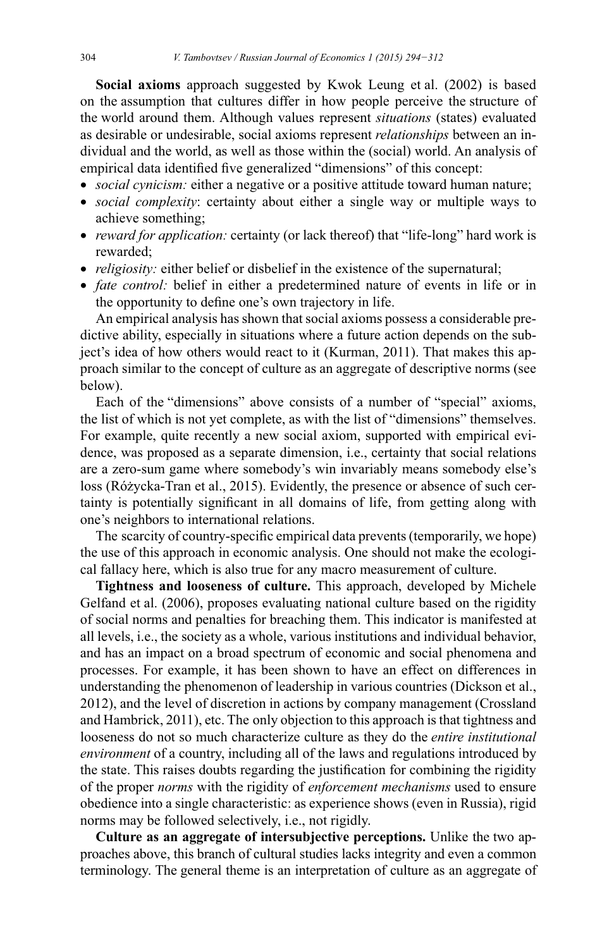Social axioms approach suggested by Kwok Leung et al. (2002) is based on the assumption that cultures differ in how people perceive the structure of the world around them. Although values represent situations (states) evaluated as desirable or undesirable, social axioms represent *relationships* between an individual and the world, as well as those within the (social) world. An analysis of empirical data identified five generalized "dimensions" of this concept:

- social cynicism: either a negative or a positive attitude toward human nature;
- social complexity: certainty about either a single way or multiple ways to achieve something;
- reward for application: certainty (or lack thereof) that "life-long" hard work is rewarded;
- *religiosity*: either belief or disbelief in the existence of the supernatural;
- fate control: belief in either a predetermined nature of events in life or in the opportunity to define one's own trajectory in life.

An empirical analysis has shown that social axioms possess a considerable predictive ability, especially in situations where a future action depends on the subject's idea of how others would react to it (Kurman, 2011). That makes this approach similar to the concept of culture as an aggregate of descriptive norms (see below).

Each of the "dimensions" above consists of a number of "special" axioms, the list of which is not yet complete, as with the list of "dimensions" themselves. For example, quite recently a new social axiom, supported with empirical evidence, was proposed as a separate dimension, i.e., certainty that social relations are a zero-sum game where somebody's win invariably means somebody else's loss (Różycka-Tran et al., 2015). Evidently, the presence or absence of such certainty is potentially significant in all domains of life, from getting along with one's neighbors to international relations.

The scarcity of country-specific empirical data prevents (temporarily, we hope) the use of this approach in economic analysis. One should not make the ecological fallacy here, which is also true for any macro measurement of culture.

Tightness and looseness of culture. This approach, developed by Michele Gelfand et al. (2006), proposes evaluating national culture based on the rigidity of social norms and penalties for breaching them. This indicator is manifested at all levels, *i.e.*, the society as a whole, various institutions and individual behavior, and has an impact on a broad spectrum of economic and social phenomena and processes. For example, it has been shown to have an effect on differences in understanding the phenomenon of leadership in various countries (Dickson et al., 2012), and the level of discretion in actions by company management (Crossland and Hambrick, 2011), etc. The only objection to this approach is that tightness and looseness do not so much characterize culture as they do the entire institutional environment of a country, including all of the laws and regulations introduced by the state. This raises doubts regarding the justification for combining the rigidity of the proper norms with the rigidity of enforcement mechanisms used to ensure obedience into a single characteristic: as experience shows (even in Russia), rigid norms may be followed selectively, i.e., not rigidly.

Culture as an aggregate of intersubjective perceptions. Unlike the two approaches above, this branch of cultural studies lacks integrity and even a common terminology. The general theme is an interpretation of culture as an aggregate of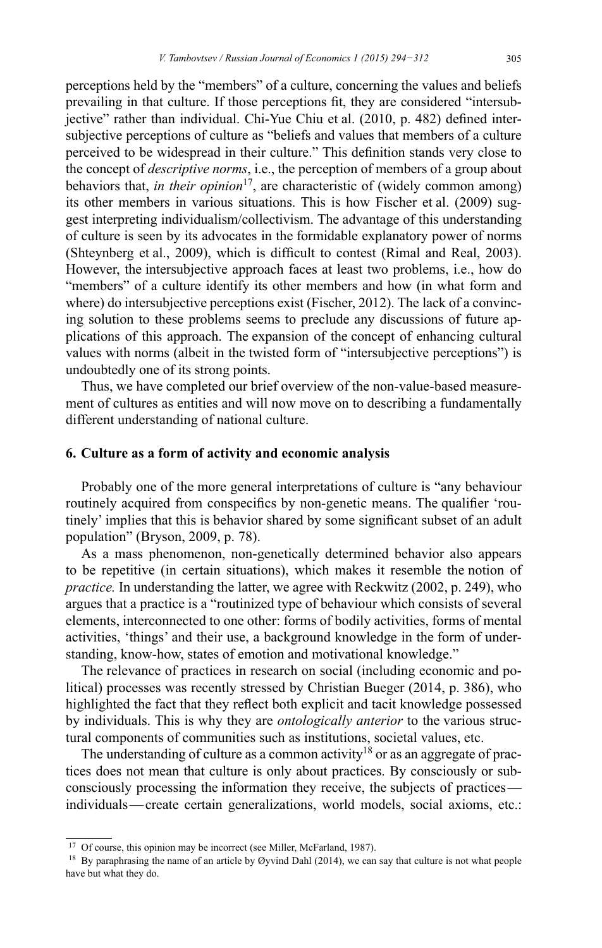perceptions held by the "members" of a culture, concerning the values and beliefs prevailing in that culture. If those perceptions fit, they are considered "intersubjective" rather than individual. Chi-Yue Chiu et al. (2010, p. 482) defined intersubjective perceptions of culture as "beliefs and values that members of a culture perceived to be widespread in their culture." This definition stands very close to the concept of *descriptive norms*, i.e., the perception of members of a group about behaviors that, in their opinion<sup>17</sup>, are characteristic of (widely common among) its other members in various situations. This is how Fischer et al. (2009) suggest interpreting individualism/collectivism. The advantage of this understanding of culture is seen by its advocates in the formidable explanatory power of norms (Shteynberg et al., 2009), which is difficult to contest (Rimal and Real, 2003). However, the intersubjective approach faces at least two problems, *i.e.*, how do "members" of a culture identify its other members and how (in what form and where) do intersubjective perceptions exist (Fischer, 2012). The lack of a convincing solution to these problems seems to preclude any discussions of future applications of this approach. The expansion of the concept of enhancing cultural values with norms (albeit in the twisted form of "intersubjective perceptions") is undoubtedly one of its strong points.

Thus, we have completed our brief overview of the non-value-based measurement of cultures as entities and will now move on to describing a fundamentally different understanding of national culture.

## 6. Culture as a form of activity and economic analysis

Probably one of the more general interpretations of culture is "any behaviour" routinely acquired from conspecifics by non-genetic means. The qualifier 'routinely' implies that this is behavior shared by some significant subset of an adult population" (Bryson, 2009, p. 78).

As a mass phenomenon, non-genetically determined behavior also appears to be repetitive (in certain situations), which makes it resemble the notion of practice. In understanding the latter, we agree with Reckwitz (2002, p. 249), who argues that a practice is a "routinized type of behaviour which consists of several elements, interconnected to one other: forms of bodily activities, forms of mental activities, 'things' and their use, a background knowledge in the form of understanding, know-how, states of emotion and motivational knowledge."

The relevance of practices in research on social (including economic and political) processes was recently stressed by Christian Bueger (2014, p. 386), who highlighted the fact that they reflect both explicit and tacit knowledge possessed by individuals. This is why they are *ontologically anterior* to the various structural components of communities such as institutions, societal values, etc.

The understanding of culture as a common activity<sup>18</sup> or as an aggregate of practices does not mean that culture is only about practices. By consciously or subconsciously processing the information they receive, the subjects of practices individuals—create certain generalizations, world models, social axioms, etc.:

<sup>&</sup>lt;sup>17</sup> Of course, this opinion may be incorrect (see Miller, McFarland, 1987).

<sup>&</sup>lt;sup>18</sup> By paraphrasing the name of an article by Øyvind Dahl (2014), we can say that culture is not what people have but what they do.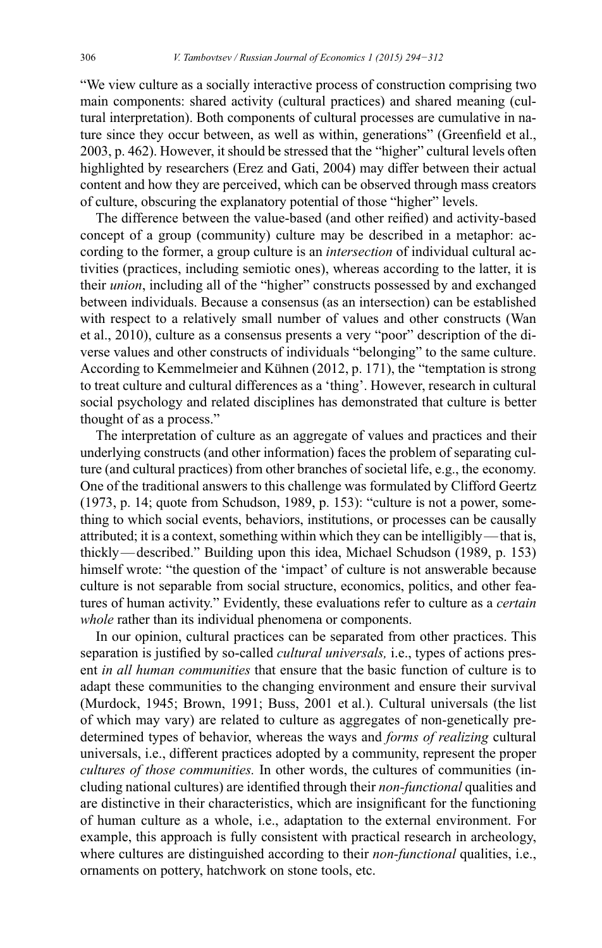"We view culture as a socially interactive process of construction comprising two main components: shared activity (cultural practices) and shared meaning (cultural interpretation). Both components of cultural processes are cumulative in nature since they occur between, as well as within, generations" (Greenfield et al., 2003, p. 462). However, it should be stressed that the "higher" cultural levels often highlighted by researchers (Erez and Gati, 2004) may differ between their actual content and how they are perceived, which can be observed through mass creators of culture, obscuring the explanatory potential of those "higher" levels.

The difference between the value-based (and other reified) and activity-based concept of a group (community) culture may be described in a metaphor: according to the former, a group culture is an *intersection* of individual cultural activities (practices, including semiotic ones), whereas according to the latter, it is their *union*, including all of the "higher" constructs possessed by and exchanged between individuals. Because a consensus (as an intersection) can be established with respect to a relatively small number of values and other constructs (Wan et al., 2010), culture as a consensus presents a very "poor" description of the diverse values and other constructs of individuals "belonging" to the same culture. According to Kemmelmeier and Kühnen (2012, p. 171), the "temptation is strong to treat culture and cultural differences as a 'thing'. However, research in cultural social psychology and related disciplines has demonstrated that culture is better thought of as a process."

The interpretation of culture as an aggregate of values and practices and their underlying constructs (and other information) faces the problem of separating culture (and cultural practices) from other branches of societal life, e.g., the economy. One of the traditional answers to this challenge was formulated by Clifford Geertz (1973, p. 14; quote from Schudson, 1989, p. 153): "culture is not a power, something to which social events, behaviors, institutions, or processes can be causally attributed; it is a context, something within which they can be intelligibly—that is, thickly—described." Building upon this idea, Michael Schudson (1989, p. 153) himself wrote: "the question of the 'impact' of culture is not answerable because culture is not separable from social structure, economics, politics, and other features of human activity." Evidently, these evaluations refer to culture as a certain *whole* rather than its individual phenomena or components.

In our opinion, cultural practices can be separated from other practices. This separation is justified by so-called *cultural universals*, i.e., types of actions present *in all human communities* that ensure that the basic function of culture is to adapt these communities to the changing environment and ensure their survival (Murdock, 1945; Brown, 1991; Buss, 2001 et al.). Cultural universals (the list of which may vary) are related to culture as aggregates of non-genetically predetermined types of behavior, whereas the ways and *forms of realizing* cultural universals, i.e., different practices adopted by a community, represent the proper *cultures of those communities*. In other words, the cultures of communities (including national cultures) are identified through their non-functional qualities and are distinctive in their characteristics, which are insignificant for the functioning of human culture as a whole, i.e., adaptation to the external environment. For example, this approach is fully consistent with practical research in archeology, where cultures are distinguished according to their *non-functional* qualities, i.e., ornaments on pottery, hatchwork on stone tools, etc.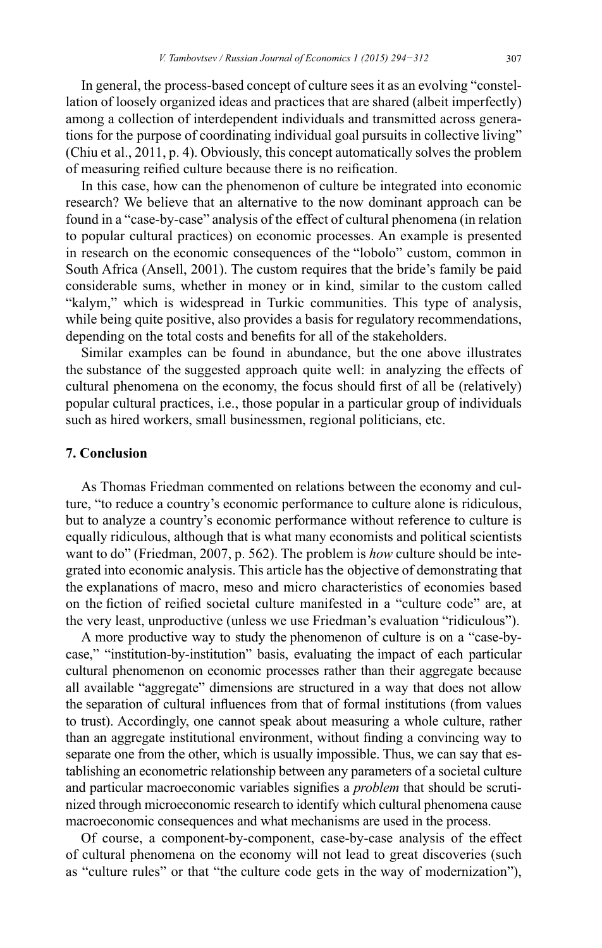In general, the process-based concept of culture sees it as an evolving "constellation of loosely organized ideas and practices that are shared (albeit imperfectly) among a collection of interdependent individuals and transmitted across generations for the purpose of coordinating individual goal pursuits in collective living" (Chiu et al., 2011, p. 4). Obviously, this concept automatically solves the problem of measuring reified culture because there is no reification.

In this case, how can the phenomenon of culture be integrated into economic research? We believe that an alternative to the now dominant approach can be found in a "case-by-case" analysis of the effect of cultural phenomena (in relation to popular cultural practices) on economic processes. An example is presented in research on the economic consequences of the "lobolo" custom, common in South Africa (Ansell, 2001). The custom requires that the bride's family be paid considerable sums, whether in money or in kind, similar to the custom called "kalym," which is widespread in Turkic communities. This type of analysis, while being quite positive, also provides a basis for regulatory recommendations, depending on the total costs and benefits for all of the stakeholders.

Similar examples can be found in abundance, but the one above illustrates the substance of the suggested approach quite well: in analyzing the effects of cultural phenomena on the economy, the focus should first of all be (relatively) popular cultural practices, i.e., those popular in a particular group of individuals such as hired workers, small businessmen, regional politicians, etc.

## **7. Conclusion**

As Thomas Friedman commented on relations between the economy and culture, "to reduce a country's economic performance to culture alone is ridiculous, but to analyze a country's economic performance without reference to culture is equally ridiculous, although that is what many economists and political scientists want to do" (Friedman, 2007, p. 562). The problem is how culture should be integrated into economic analysis. This article has the objective of demonstrating that the explanations of macro, meso and micro characteristics of economies based on the fiction of reified societal culture manifested in a "culture code" are, at the very least, unproductive (unless we use Friedman's evaluation "ridiculous").

A more productive way to study the phenomenon of culture is on a "case-bycase," "institution-by-institution" basis, evaluating the impact of each particular cultural phenomenon on economic processes rather than their aggregate because all available "aggregate" dimensions are structured in a way that does not allow the separation of cultural influences from that of formal institutions (from values to trust). Accordingly, one cannot speak about measuring a whole culture, rather than an aggregate institutional environment, without finding a convincing way to separate one from the other, which is usually impossible. Thus, we can say that establishing an econometric relationship between any parameters of a societal culture and particular macroeconomic variables signifies a *problem* that should be scrutinized through microeconomic research to identify which cultural phenomena cause macroeconomic consequences and what mechanisms are used in the process.

Of course, a component-by-component, case-by-case analysis of the effect of cultural phenomena on the economy will not lead to great discoveries (such as "culture rules" or that "the culture code gets in the way of modernization"),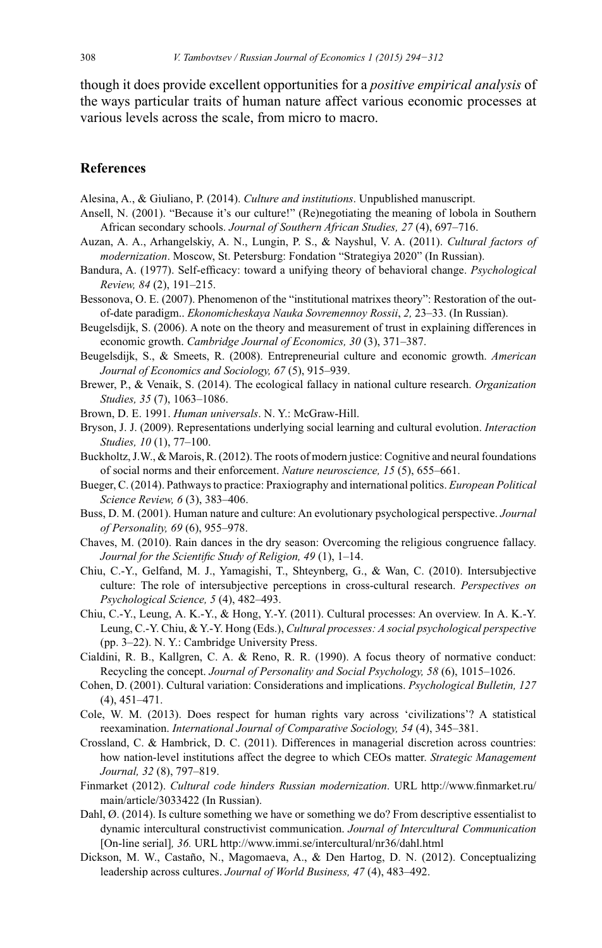though it does provide excellent opportunities for a *positive empirical analysis* of the ways particular traits of human nature affect various economic processes at various levels across the scale, from micro to macro.

## **References**

- Alesina, A., & Giuliano, P. (2014). Culture and institutions. Unpublished manuscript.
- Ansell, N. (2001). "Because it's our culture!" (Re)negotiating the meaning of lobola in Southern African secondary schools. Journal of Southern African Studies, 27 (4), 697-716.
- Auzan, A. A., Arhangelskiy, A. N., Lungin, P. S., & Nayshul, V. A. (2011). Cultural factors of modernization. Moscow, St. Petersburg: Fondation "Strategiya 2020" (In Russian).
- Bandura, A. (1977). Self-efficacy: toward a unifying theory of behavioral change. *Psychological* Review, 84 (2), 191-215.
- Bessonova, O. E. (2007). Phenomenon of the "institutional matrixes theory": Restoration of the outof-date paradigm.. Ekonomicheskaya Nauka Sovremennoy Rossii, 2, 23-33. (In Russian).
- Beugelsdijk, S. (2006). A note on the theory and measurement of trust in explaining differences in economic growth. Cambridge Journal of Economics, 30 (3), 371-387.
- Beugelsdijk, S., & Smeets, R. (2008). Entrepreneurial culture and economic growth. American Journal of Economics and Sociology, 67 (5), 915-939.
- Brewer, P., & Venaik, S. (2014). The ecological fallacy in national culture research. Organization Studies, 35 (7), 1063-1086.
- Brown, D. E. 1991. Human universals. N. Y.: McGraw-Hill.
- Bryson, J. J. (2009). Representations underlying social learning and cultural evolution. Interaction Studies, 10 (1), 77-100.
- Buckholtz, J.W., & Marois, R. (2012). The roots of modern justice: Cognitive and neural foundations of social norms and their enforcement. Nature neuroscience, 15 (5), 655–661.
- Bueger, C. (2014). Pathways to practice: Praxiography and international politics. European Political Science Review, 6 (3), 383-406.
- Buss, D. M. (2001). Human nature and culture: An evolutionary psychological perspective. Journal of Personality, 69 (6), 955-978.
- Chaves, M. (2010). Rain dances in the dry season: Overcoming the religious congruence fallacy. Journal for the Scientific Study of Religion, 49 (1), 1-14.
- Chiu, C.-Y., Gelfand, M. J., Yamagishi, T., Shteynberg, G., & Wan, C. (2010). Intersubjective culture: The role of intersubjective perceptions in cross-cultural research. Perspectives on Psychological Science, 5 (4), 482-493.
- Chiu, C.-Y., Leung, A. K.-Y., & Hong, Y.-Y. (2011). Cultural processes: An overview. In A. K.-Y. Leung, C.-Y. Chiu, & Y.-Y. Hong (Eds.), Cultural processes: A social psychological perspective (pp. 3–22). N. Y.: Cambridge University Press.
- Cialdini, R. B., Kallgren, C. A. & Reno, R. R. (1990). A focus theory of normative conduct: Recycling the concept. Journal of Personality and Social Psychology, 58 (6), 1015–1026.
- Cohen, D. (2001). Cultural variation: Considerations and implications. Psychological Bulletin, 127  $(4)$ , 451–471.
- Cole, W. M. (2013). Does respect for human rights vary across 'civilizations'? A statistical reexamination. *International Journal of Comparative Sociology*, 54 (4), 345–381.
- Crossland, C. & Hambrick, D. C. (2011). Differences in managerial discretion across countries: how nation-level institutions affect the degree to which CEOs matter. Strategic Management Journal, 32 (8), 797-819.
- Finmarket (2012). Cultural code hinders Russian modernization. URL http://www.finmarket.ru/ main/article/3033422 (In Russian).
- Dahl,  $\varnothing$ . (2014). Is culture something we have or something we do? From descriptive essentialist to dynamic intercultural constructivist communication. Journal of Intercultural Communication [On-line serial], 36. URL http://www.immi.se/intercultural/nr36/dahl.html
- Dickson, M. W., Castaño, N., Magomaeva, A., & Den Hartog, D. N. (2012). Conceptualizing leadership across cultures. Journal of World Business, 47 (4), 483-492.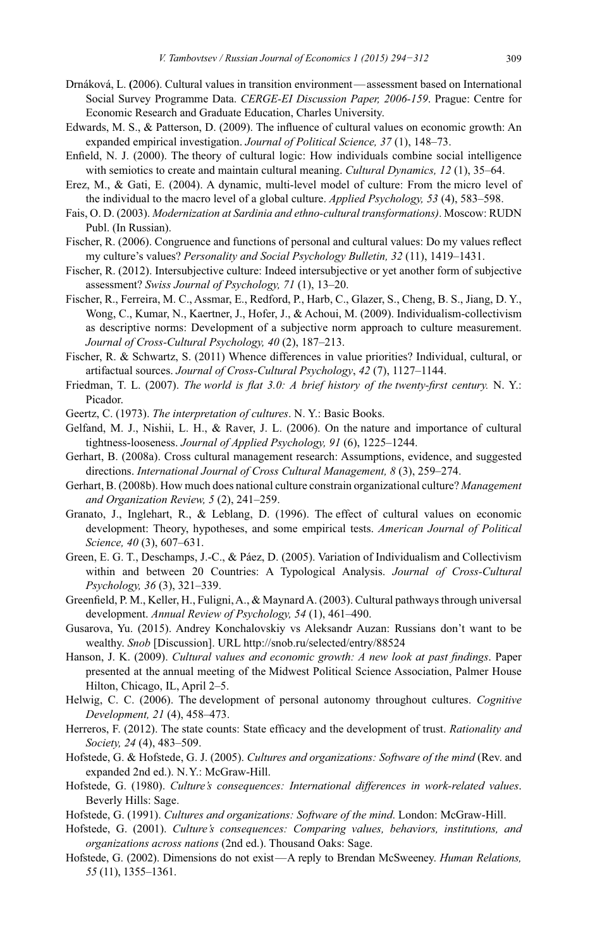- Drnáková, L. (2006). Cultural values in transition environment—assessment based on International Social Survey Programme Data. CERGE-EI Discussion Paper, 2006-159. Prague: Centre for Economic Research and Graduate Education, Charles University.
- Edwards, M. S., & Patterson, D. (2009). The influence of cultural values on economic growth: An expanded empirical investigation. *Journal of Political Science*, 37(1), 148–73.
- Enfield, N. J. (2000). The theory of cultural logic: How individuals combine social intelligence with semiotics to create and maintain cultural meaning. *Cultural Dynamics*,  $12$  (1),  $35-64$ .
- Erez, M., & Gati, E. (2004). A dynamic, multi-level model of culture: From the micro level of the individual to the macro level of a global culture. *Applied Psychology*, 53 (4), 583–598.
- Fais, O. D. (2003). *Modernization at Sardinia and ethno-cultural transformations*). Moscow: RUDN Publ. (In Russian).
- Fischer, R. (2006). Congruence and functions of personal and cultural values: Do my values reflect my culture's values? *Personality and Social Psychology Bulletin, 32* (11), 1419–1431.
- Fischer, R. (2012). Intersubjective culture: Indeed intersubjective or yet another form of subjective assessment? *Swiss Journal of Psychology, 71* (1), 13-20.
- Fischer, R., Ferreira, M. C., Assmar, E., Redford, P., Harb, C., Glazer, S., Cheng, B. S., Jiang, D. Y., Wong, C., Kumar, N., Kaertner, J., Hofer, J., & Achoui, M. (2009). Individualism-collectivism as descriptive norms: Development of a subjective norm approach to culture measurement. *Journal of Cross-Cultural Psychology, 40 (2), 187-213.*
- Fischer, R. & Schwartz, S. (2011) Whence differences in value priorities? Individual, cultural, or artifactual sources. *Journal of Cross-Cultural Psychology*, 42 (7), 1127-1144.
- Friedman, T. L. (2007). The world is flat 3.0: A brief history of the twenty-first century. N. Y.: Picador.
- Geertz, C. (1973). The interpretation of cultures. N. Y.: Basic Books.
- Gelfand, M. J., Nishii, L. H., & Raver, J. L.  $(2006)$ . On the nature and importance of cultural tightness-looseness. *Journal of Applied Psychology*, 91 (6), 1225-1244.
- Gerhart, B. (2008a). Cross cultural management research: Assumptions, evidence, and suggested directions. International Journal of Cross Cultural Management, 8 (3), 259-274.
- Gerhart, B. (2008b). How much does national culture constrain organizational culture? *Management* and Organization Review, 5 (2), 241-259.
- Granato, J., Inglehart, R., & Leblang, D. (1996). The effect of cultural values on economic development: Theory, hypotheses, and some empirical tests. *American Journal of Political Science,* 40(3), 607–631.
- Green, E. G. T., Deschamps, J.-C., & Páez, D. (2005). Variation of Individualism and Collectivism within and between 20 Countries: A Typological Analysis. *Journal of Cross-Cultural* Psychology, 36 (3), 321-339.
- Greenfield, P. M., Keller, H., Fuligni, A., & Maynard A. (2003). Cultural pathways through universal development. Annual Review of Psychology, 54 (1), 461-490.
- Gusarova, Yu. (2015). Andrey Konchalovskiy vs Aleksandr Auzan: Russians don't want to be wealthy. *Snob* [Discussion]. URL http://snob.ru/selected/entry/88524
- Hanson, J. K. (2009). *Cultural values and economic growth: A new look at past findings*. Paper presented at the annual meeting of the Midwest Political Science Association, Palmer House Hilton, Chicago, IL, April 2-5.
- Helwig, C. C. (2006). The development of personal autonomy throughout cultures. *Cognitive Development,* 21 (4), 458-473.
- Herreros, F. (2012). The state counts: State efficacy and the development of trust. Rationality and *Society,* 24 (4), 483-509.
- Hofstede, G. & Hofstede, G. J. (2005). Cultures and organizations: Software of the mind (Rev. and expanded 2nd ed.). N.Y.: McGraw-Hill.
- Hofstede, G. (1980). Culture's consequences: International differences in work-related values. Beverly Hills: Sage.
- Hofstede, G. (1991). Cultures and organizations: Software of the mind. London: McGraw-Hill.
- Hofstede, G. (2001). Culture's consequences: Comparing values, behaviors, institutions, and *organizations across nations* (2nd ed.). Thousand Oaks: Sage.
- Hofstede, G. (2002). Dimensions do not exist—A reply to Brendan McSweeney. Human Relations, 55 (11), 1355–1361.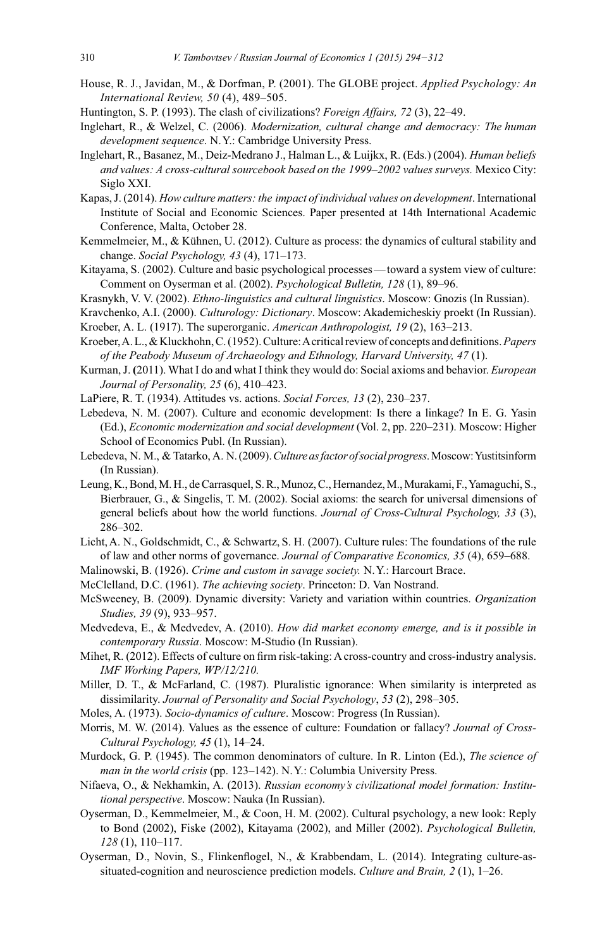- House, R. J., Javidan, M., & Dorfman, P. (2001). The GLOBE project. Applied Psychology: An International Review, 50 (4), 489-505.
- Huntington, S. P. (1993). The clash of civilizations? Foreign Affairs, 72 (3), 22–49.
- Inglehart, R., & Welzel, C. (2006). Modernization, cultural change and democracy: The human development sequence. N.Y.: Cambridge University Press.
- Inglehart, R., Basanez, M., Deiz-Medrano J., Halman L., & Luijkx, R. (Eds.) (2004). Human beliefs and values: A cross-cultural sourcebook based on the 1999–2002 values surveys. Mexico City: Siglo XXI.
- Kapas, J. (2014). How culture matters: the impact of individual values on development. International Institute of Social and Economic Sciences. Paper presented at 14th International Academic Conference, Malta, October 28.
- Kemmelmeier, M., & Kühnen, U. (2012). Culture as process: the dynamics of cultural stability and change. Social Psychology, 43 (4), 171-173.
- Kitayama, S. (2002). Culture and basic psychological processes—toward a system view of culture: Comment on Oyserman et al. (2002). Psychological Bulletin, 128 (1), 89-96.
- Krasnykh, V. V. (2002). *Ethno-linguistics and cultural linguistics*. Moscow: Gnozis (In Russian).
- Kravchenko, A.I. (2000). Culturology: Dictionary. Moscow: Akademicheskiy proekt (In Russian).
- Kroeber, A. L. (1917). The superorganic. American Anthropologist, 19 (2), 163–213.
- Kroeber, A. L., & Kluckhohn, C. (1952). Culture: A critical review of concepts and definitions. Papers of the Peabody Museum of Archaeology and Ethnology, Harvard University, 47 (1).
- Kurman, J. (2011). What I do and what I think they would do: Social axioms and behavior. *European* Journal of Personality, 25 (6), 410–423.
- LaPiere, R. T. (1934). Attitudes vs. actions. Social Forces, 13 (2), 230-237.
- Lebedeva, N. M. (2007). Culture and economic development: Is there a linkage? In E. G. Yasin (Ed.), Economic modernization and social development (Vol. 2, pp. 220-231). Moscow: Higher School of Economics Publ. (In Russian).
- Lebedeva, N. M., & Tatarko, A. N. (2009). Culture as factor of social progress. Moscow: Yustitsinform (In Russian).
- Leung, K., Bond, M. H., de Carrasquel, S. R., Munoz, C., Hernandez, M., Murakami, F., Yamaguchi, S., Bierbrauer, G., & Singelis, T. M. (2002). Social axioms: the search for universal dimensions of general beliefs about how the world functions. Journal of Cross-Cultural Psychology, 33 (3), 286-302.
- Licht, A. N., Goldschmidt, C., & Schwartz, S. H. (2007). Culture rules: The foundations of the rule of law and other norms of governance. Journal of Comparative Economics, 35 (4), 659–688.
- Malinowski, B. (1926). Crime and custom in savage society. N.Y.: Harcourt Brace.
- McClelland, D.C. (1961). The achieving society. Princeton: D. Van Nostrand.
- McSweeney, B. (2009). Dynamic diversity: Variety and variation within countries. Organization Studies, 39 (9), 933-957.
- Medvedeva, E., & Medvedev, A. (2010). How did market economy emerge, and is it possible in contemporary Russia. Moscow: M-Studio (In Russian).
- Mihet, R. (2012). Effects of culture on firm risk-taking: A cross-country and cross-industry analysis. IMF Working Papers, WP/12/210.
- Miller, D. T., & McFarland, C. (1987). Pluralistic ignorance: When similarity is interpreted as dissimilarity. Journal of Personality and Social Psychology, 53 (2), 298-305.
- Moles, A. (1973). Socio-dynamics of culture. Moscow: Progress (In Russian).
- Morris, M. W. (2014). Values as the essence of culture: Foundation or fallacy? Journal of Cross-Cultural Psychology, 45 (1), 14–24.
- Murdock, G. P. (1945). The common denominators of culture. In R. Linton (Ed.), The science of man in the world crisis (pp. 123-142). N.Y.: Columbia University Press.
- Nifaeva, O., & Nekhamkin, A. (2013). Russian economy's civilizational model formation: Institutional perspective. Moscow: Nauka (In Russian).
- Oyserman, D., Kemmelmeier, M., & Coon, H. M. (2002). Cultural psychology, a new look: Reply to Bond (2002), Fiske (2002), Kitayama (2002), and Miller (2002). Psychological Bulletin,  $128(1)$ , 110-117.
- Oyserman, D., Novin, S., Flinkenflogel, N., & Krabbendam, L. (2014). Integrating culture-assituated-cognition and neuroscience prediction models. Culture and Brain,  $2(1)$ ,  $1-26$ .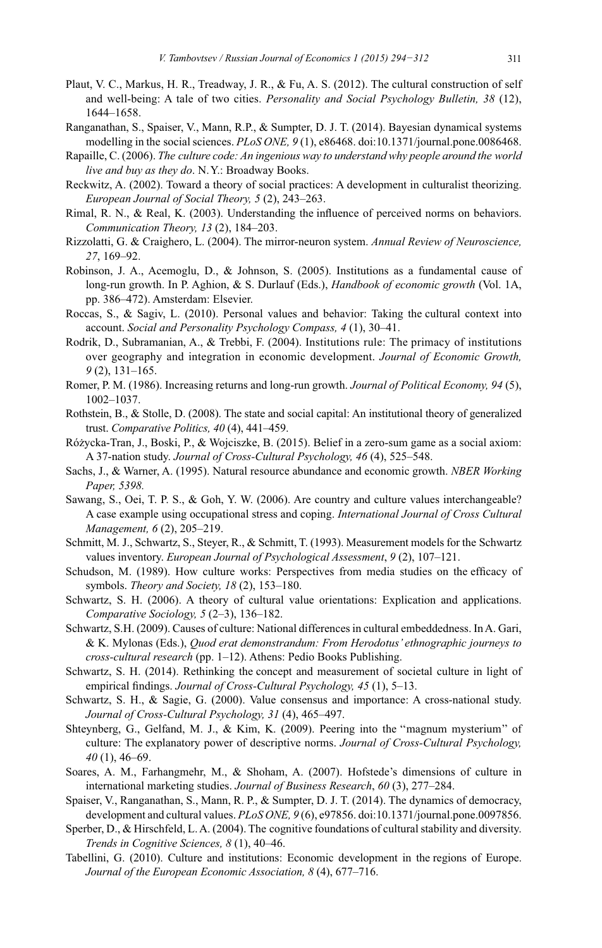- Plaut, V. C., Markus, H. R., Treadway, J. R., & Fu, A. S. (2012). The cultural construction of self and well-being: A tale of two cities. Personality and Social Psychology Bulletin, 38 (12), 1644-1658.
- Ranganathan, S., Spaiser, V., Mann, R.P., & Sumpter, D. J. T. (2014). Bayesian dynamical systems modelling in the social sciences. PLoS ONE,  $9(1)$ , e86468. doi:10.1371/journal.pone.0086468.
- Rapaille, C. (2006). The culture code: An ingenious way to understand why people around the world live and buy as they do. N.Y.: Broadway Books.
- Reckwitz, A. (2002). Toward a theory of social practices: A development in culturalist theorizing. European Journal of Social Theory, 5 (2), 243-263.
- Rimal, R. N., & Real, K. (2003). Understanding the influence of perceived norms on behaviors. Communication Theory, 13 (2), 184-203.
- Rizzolatti, G. & Craighero, L. (2004). The mirror-neuron system. Annual Review of Neuroscience, 27, 169-92.
- Robinson, J. A., Acemoglu, D., & Johnson, S. (2005). Institutions as a fundamental cause of long-run growth. In P. Aghion, & S. Durlauf (Eds.), Handbook of economic growth (Vol. 1A, pp. 386–472). Amsterdam: Elsevier.
- Roccas, S., & Sagiv, L. (2010). Personal values and behavior: Taking the cultural context into account. Social and Personality Psychology Compass, 4(1), 30–41.
- Rodrik, D., Subramanian, A., & Trebbi, F. (2004). Institutions rule: The primacy of institutions over geography and integration in economic development. Journal of Economic Growth,  $9(2)$ , 131–165.
- Romer, P. M. (1986). Increasing returns and long-run growth. Journal of Political Economy, 94(5),  $1002 - 1037.$
- Rothstein, B., & Stolle, D. (2008). The state and social capital: An institutional theory of generalized trust. Comparative Politics,  $40(4)$ ,  $441-459$ .
- Różycka-Tran, J., Boski, P., & Wojciszke, B. (2015). Belief in a zero-sum game as a social axiom: A 37-nation study. Journal of Cross-Cultural Psychology, 46 (4), 525-548.
- Sachs, J., & Warner, A. (1995). Natural resource abundance and economic growth. *NBER Working* Paper, 5398.
- Sawang, S., Oei, T. P. S., & Goh, Y. W. (2006). Are country and culture values interchangeable? A case example using occupational stress and coping. International Journal of Cross Cultural Management, 6 (2), 205-219.
- Schmitt, M. J., Schwartz, S., Steyer, R., & Schmitt, T. (1993). Measurement models for the Schwartz values inventory. European Journal of Psychological Assessment, 9 (2), 107-121.
- Schudson, M. (1989). How culture works: Perspectives from media studies on the efficacy of symbols. Theory and Society, 18 (2), 153-180.
- Schwartz, S. H. (2006). A theory of cultural value orientations: Explication and applications. Comparative Sociology, 5 (2-3), 136-182.
- Schwartz, S.H. (2009). Causes of culture: National differences in cultural embeddedness. In A. Gari, & K. Mylonas (Eds.), Quod erat demonstrandum: From Herodotus' ethnographic journeys to cross-cultural research (pp. 1-12). Athens: Pedio Books Publishing.
- Schwartz, S. H. (2014). Rethinking the concept and measurement of societal culture in light of empirical findings. Journal of Cross-Cultural Psychology, 45 (1), 5-13.
- Schwartz, S. H., & Sagie, G. (2000). Value consensus and importance: A cross-national study. Journal of Cross-Cultural Psychology, 31 (4), 465-497.
- Shteynberg, G., Gelfand, M. J., & Kim, K. (2009). Peering into the "magnum mysterium" of culture: The explanatory power of descriptive norms. Journal of Cross-Cultural Psychology,  $40(1)$ , 46–69.
- Soares, A. M., Farhangmehr, M., & Shoham, A. (2007). Hofstede's dimensions of culture in international marketing studies. Journal of Business Research, 60 (3), 277–284.
- Spaiser, V., Ranganathan, S., Mann, R. P., & Sumpter, D. J. T. (2014). The dynamics of democracy, development and cultural values.  $PLoS$  ONE,  $9(6)$ , e97856. doi:10.1371/journal.pone.0097856.
- Sperber, D., & Hirschfeld, L. A. (2004). The cognitive foundations of cultural stability and diversity. Trends in Cognitive Sciences, 8 (1), 40–46.
- Tabellini, G. (2010). Culture and institutions: Economic development in the regions of Europe. Journal of the European Economic Association, 8 (4), 677-716.